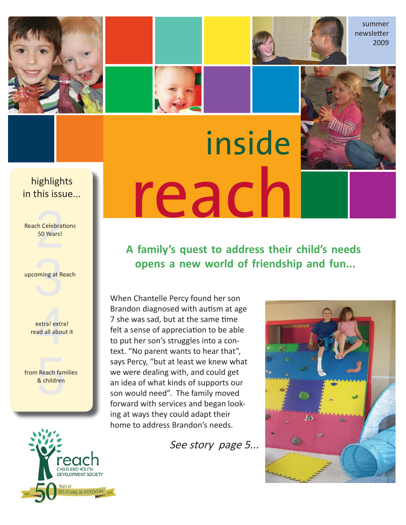





summer newsletter 2009

#### **this issue.....** highlights in this issue...

ch Celebrat<br>50 Years! **Reach Celebrations** 50 Years!

oming at R upcoming at Reach



Reach fam<br>& children from Reach families & children

# HILD AND YOUTH DEVELOPMENT SOCIETY **LIEVING IN POTENTIAL**

# reach inside

**A family's quest to address their child's needs opens a new world of friendship and fun...**

When Chantelle Percy found her son Brandon diagnosed with autism at age 7 she was sad, but at the same time felt a sense of appreciation to be able to put her son's struggles into a context. "No parent wants to hear that", says Percy, "but at least we knew what we were dealing with, and could get an idea of what kinds of supports our son would need". The family moved forward with services and began looking at ways they could adapt their home to address Brandon's needs.

See story page 5...

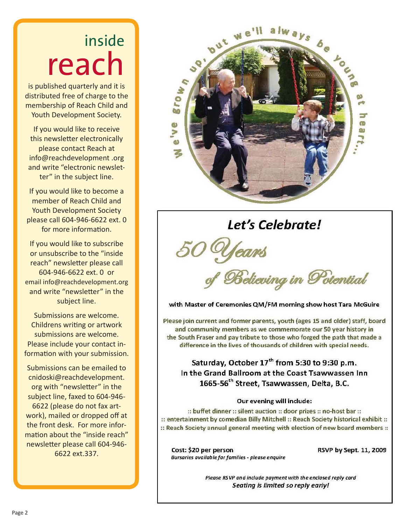# inside reach

is published quarterly and it is distributed free of charge to the membership of Reach Child and Youth Development Society.

If you would like to receive this newsletter electronically please contact Reach at info@reachdevelopment .org and write "electronic newsletter" in the subject line.

If you would like to become a member of Reach Child and Youth Development Society please call 604-946-6622 ext. 0 for more information.

If you would like to subscribe or unsubscribe to the "inside reach" newsletter please call 604-946-6622 ext. 0 or email info@reachdevelopment.org and write "newsletter" in the subject line.

Submissions are welcome. Childrens writing or artwork submissions are welcome. Please include your contact information with your submission.

Submissions can be emailed to cnidoski@reachdevelopment. org with "newsletter" in the subject line, faxed to 604-946- 6622 (please do not fax artwork), mailed or dropped off at the front desk. For more information about the "inside reach" newsletter please call 604-946-6622 ext.337.



### Let's Celebrate!

of Believing in Potential

with Master of Ceremonies QM/FM morning show host Tara McGuire

Please join current and former parents, youth (ages 15 and older) staff, board and community members as we commemorate our 50 year history in the South Fraser and pay tribute to those who forged the path that made a difference in the lives of thousands of children with special needs.

Saturday, October 17<sup>th</sup> from 5:30 to 9:30 p.m. In the Grand Ballroom at the Coast Tsawwassen Inn 1665-56<sup>th</sup> Street, Tsawwassen, Delta, B.C.

#### Our evening will include:

:: buffet dinner :: silent auction :: door prizes :: no-host bar :: :: entertainment by comedian Billy Mitchell :: Reach Society historical exhibit :: :: Reach Society annual general meeting with election of new board members ::

Cost: \$20 per person Bursaries available for families - please enquire RSVP by Sept. 11, 2009

Please RSVP and include payment with the enclosed reply card Seating is limited so reply early!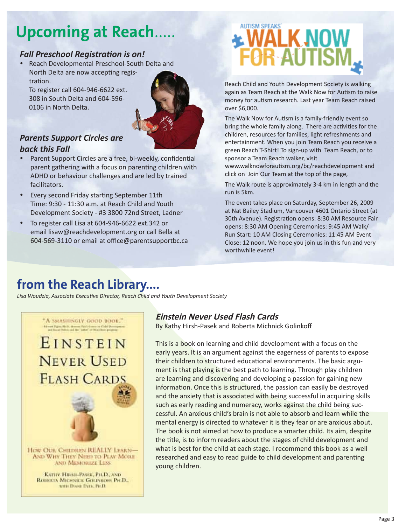### **Upcoming at Reach.**

#### **Fall Preschool Registration is on!**

y Reach Developmental Preschool-South Delta and North Delta are now accepting registration.

To register call 604-946-6622 ext. 308 in South Delta and 604-596- 0106 in North Delta.



#### *Parents Support Circles are back this Fall*

- Parent Support Circles are a free, bi-weekly, confidential parent gathering with a focus on parenting children with ADHD or behaviour challenges and are led by trained facilitators.
- Every second Friday starting September 11th Time: 9:30 - 11:30 a.m. at Reach Child and Youth Development Society - #3 3800 72nd Street, Ladner
- To register call Lisa at 604-946-6622 ext.342 or email lisaw@reachdevelopment.org or call Bella at 604-569-3110 or email at office@parentsupportbc.ca

# **ENALK NOW FOR AUTISI**

Reach Child and Youth Development Society is walking again as Team Reach at the Walk Now for Autism to raise money for autism research. Last year Team Reach raised over \$6,000.

The Walk Now for Autism is a family-friendly event so bring the whole family along. There are activities for the children, resources for families, light refreshments and entertainment. When you join Team Reach you receive a green Reach T-Shirt! To sign-up with Team Reach, or to sponsor a Team Reach walker, visit

www.walknowforautism.org/bc/reachdevelopment and click on Join Our Team at the top of the page,

The Walk route is approximately 3-4 km in length and the run is 5km.

The event takes place on Saturday, September 26, 2009 at Nat Bailey Stadium, Vancouver 4601 Ontario Street (at 30th Avenue). Registration opens: 8:30 AM Resource Fair opens: 8:30 AM Opening Ceremonies: 9:45 AM Walk/ Run Start: 10 AM Closing Ceremonies: 11:45 AM Event Close: 12 noon. We hope you join us in this fun and very worthwhile event!

### **from the Reach Library....**

Lisa Woudzia, Associate Executive Director, Reach Child and Youth Development Society



#### **Einstein Never Used Flash Cards**

By Kathy Hirsh-Pasek and Roberta Michnick Golinkoff

This is a book on learning and child development with a focus on the early years. It is an argument against the eagerness of parents to expose their children to structured educational environments. The basic argument is that playing is the best path to learning. Through play children are learning and discovering and developing a passion for gaining new information. Once this is structured, the passion can easily be destroyed and the anxiety that is associated with being successful in acquiring skills such as early reading and numeracy, works against the child being successful. An anxious child's brain is not able to absorb and learn while the mental energy is directed to whatever it is they fear or are anxious about. The book is not aimed at how to produce a smarter child. Its aim, despite the title, is to inform readers about the stages of child development and what is best for the child at each stage. I recommend this book as a well researched and easy to read guide to child development and parenting young children.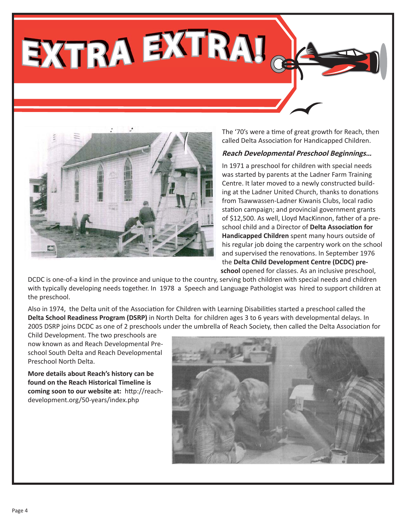**EXTRA EXTRA!**



The '70's were a time of great growth for Reach, then called Delta Association for Handicapped Children.

#### **Reach Developmental Preschool Beginnings…**

In 1971 a preschool for children with special needs was started by parents at the Ladner Farm Training Centre. It later moved to a newly constructed building at the Ladner United Church, thanks to donations from Tsawwassen-Ladner Kiwanis Clubs, local radio station campaign; and provincial government grants of \$12,500. As well, Lloyd MacKinnon, father of a preschool child and a Director of **Delta Associati on for Handicapped Children** spent many hours outside of his regular job doing the carpentry work on the school and supervised the renovations. In September 1976 the **Delta Child Development Centre (DCDC) preschool** opened for classes. As an inclusive preschool,

DCDC is one-of-a kind in the province and unique to the country, serving both children with special needs and children with typically developing needs together. In 1978 a Speech and Language Pathologist was hired to support children at the preschool.

Also in 1974, the Delta unit of the Association for Children with Learning Disabilities started a preschool called the **Delta School Readiness Program (DSRP)** in North Delta for children ages 3 to 6 years with developmental delays. In 2005 DSRP joins DCDC as one of 2 preschools under the umbrella of Reach Society, then called the Delta Association for

Child Development. The two preschools are now known as and Reach Developmental Preschool South Delta and Reach Developmental Preschool North Delta.

**More details about Reach's history can be found on the Reach Historical Timeline is coming soon to our website at: http://reach**development.org/50-years/index.php

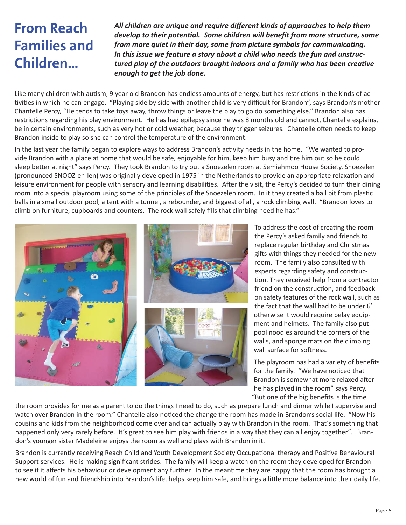### **From Reach Families and Children…**

*All children are unique and require diff erent kinds of approaches to help them develop to their potential. Some children will benefit from more structure, some from more quiet in their day, some from picture symbols for communicating. In this issue we feature a story about a child who needs the fun and unstructured play of the outdoors brought indoors and a family who has been creative enough to get the job done.*

Like many children with autism, 9 year old Brandon has endless amounts of energy, but has restrictions in the kinds of activities in which he can engage. "Playing side by side with another child is very difficult for Brandon", says Brandon's mother Chantelle Percy, "He tends to take toys away, throw things or leave the play to go do something else." Brandon also has restrictions regarding his play environment. He has had epilepsy since he was 8 months old and cannot, Chantelle explains, be in certain environments, such as very hot or cold weather, because they trigger seizures. Chantelle often needs to keep Brandon inside to play so she can control the temperature of the environment.

In the last year the family began to explore ways to address Brandon's activity needs in the home. "We wanted to provide Brandon with a place at home that would be safe, enjoyable for him, keep him busy and tire him out so he could sleep better at night" says Percy. They took Brandon to try out a Snoezelen room at Semiahmoo House Society. Snoezelen (pronounced SNOOZ-eh-len) was originally developed in 1975 in the Netherlands to provide an appropriate relaxation and leisure environment for people with sensory and learning disabilities. After the visit, the Percy's decided to turn their dining room into a special playroom using some of the principles of the Snoezelen room. In it they created a ball pit from plastic balls in a small outdoor pool, a tent with a tunnel, a rebounder, and biggest of all, a rock climbing wall. "Brandon loves to climb on furniture, cupboards and counters. The rock wall safely fills that climbing need he has."



To address the cost of creating the room the Percy's asked family and friends to replace regular birthday and Christmas gifts with things they needed for the new room. The family also consulted with experts regarding safety and construction. They received help from a contractor friend on the construction, and feedback on safety features of the rock wall, such as the fact that the wall had to be under 6' otherwise it would require belay equipment and helmets. The family also put pool noodles around the corners of the walls, and sponge mats on the climbing wall surface for softness.

The playroom has had a variety of benefits for the family. "We have noticed that Brandon is somewhat more relaxed after he has played in the room" says Percy. "But one of the big benefits is the time

the room provides for me as a parent to do the things I need to do, such as prepare lunch and dinner while I supervise and watch over Brandon in the room." Chantelle also noticed the change the room has made in Brandon's social life. "Now his cousins and kids from the neighborhood come over and can actually play with Brandon in the room. That's something that happened only very rarely before. It's great to see him play with friends in a way that they can all enjoy together". Brandon's younger sister Madeleine enjoys the room as well and plays with Brandon in it.

Brandon is currently receiving Reach Child and Youth Development Society Occupational therapy and Positive Behavioural Support services. He is making significant strides. The family will keep a watch on the room they developed for Brandon to see if it affects his behaviour or development any further. In the meantime they are happy that the room has brought a new world of fun and friendship into Brandon's life, helps keep him safe, and brings a little more balance into their daily life.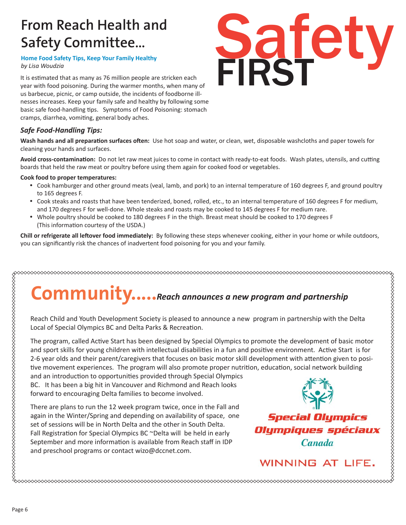### **From Reach Health and Safety Committee…**

**Home Food Safety Tips, Keep Your Family Healthy**

It is estimated that as many as 76 million people are stricken each year with food poisoning. During the warmer months, when many of us barbecue, picnic, or camp outside, the incidents of foodborne illnesses increases. Keep your family safe and healthy by following some basic safe food-handling tips. Symptoms of Food Poisoning: stomach cramps, diarrhea, vomiting, general body aches.

#### *Safe Food-Handling Tips:*

Wash hands and all preparation surfaces often: Use hot soap and water, or clean, wet, disposable washcloths and paper towels for cleaning your hands and surfaces.

Avoid cross-contamination: Do not let raw meat juices to come in contact with ready-to-eat foods. Wash plates, utensils, and cutting boards that held the raw meat or poultry before using them again for cooked food or vegetables.

#### **Cook food to proper temperatures:**

- Cook hamburger and other ground meats (veal, lamb, and pork) to an internal temperature of 160 degrees F, and ground poultry to 165 degrees F.
- y Cook steaks and roasts that have been tenderized, boned, rolled, etc., to an internal temperature of 160 degrees F for medium, and 170 degrees F for well-done. Whole steaks and roasts may be cooked to 145 degrees F for medium rare.
- Whole poultry should be cooked to 180 degrees F in the thigh. Breast meat should be cooked to 170 degrees F (This information courtesy of the USDA.)

**Chill or refrigerate all left over food immediately:** By following these steps whenever cooking, either in your home or while outdoors, you can significantly risk the chances of inadvertent food poisoning for you and your family.

# **Community.....***Reach announces a new program and partnership*

Reach Child and Youth Development Society is pleased to announce a new program in partnership with the Delta Local of Special Olympics BC and Delta Parks & Recreation.

The program, called Active Start has been designed by Special Olympics to promote the development of basic motor and sport skills for young children with intellectual disabilities in a fun and positive environment. Active Start is for 2-6 year olds and their parent/caregivers that focuses on basic motor skill development with attention given to positive movement experiences. The program will also promote proper nutrition, education, social network building

and an introduction to opportunities provided through Special Olympics BC. It has been a big hit in Vancouver and Richmond and Reach looks forward to encouraging Delta families to become involved.

There are plans to run the 12 week program twice, once in the Fall and again in the Winter/Spring and depending on availability of space, one set of sessions will be in North Delta and the other in South Delta. Fall Registration for Special Olympics BC ~Delta will be held in early September and more information is available from Reach staff in IDP and preschool programs or contact wizo@dccnet.com.



**Canada** 

**WINNING AT LIFE.** 

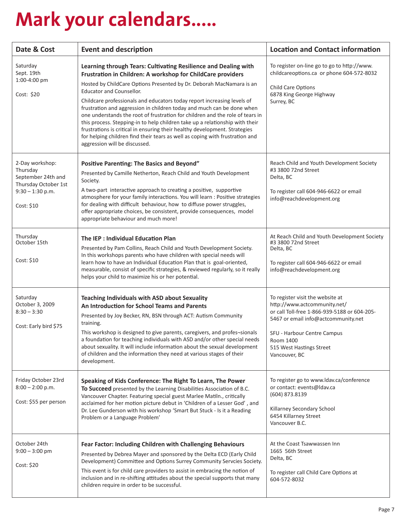# **Mark your calendars.....**

| Date & Cost                                                                                                   | <b>Event and description</b>                                                                                                                                                                                                                                                                                                                                                                                                                                                                                                                                                                                                                                                                                                                                   | <b>Location and Contact information</b>                                                                                                                                                                                                          |
|---------------------------------------------------------------------------------------------------------------|----------------------------------------------------------------------------------------------------------------------------------------------------------------------------------------------------------------------------------------------------------------------------------------------------------------------------------------------------------------------------------------------------------------------------------------------------------------------------------------------------------------------------------------------------------------------------------------------------------------------------------------------------------------------------------------------------------------------------------------------------------------|--------------------------------------------------------------------------------------------------------------------------------------------------------------------------------------------------------------------------------------------------|
| Saturday<br>Sept. 19th<br>1:00-4:00 pm<br>Cost: \$20                                                          | Learning through Tears: Cultivating Resilience and Dealing with<br>Frustration in Children: A workshop for ChildCare providers<br>Hosted by ChildCare Options Presented by Dr. Deborah MacNamara is an<br><b>Educator and Counsellor.</b><br>Childcare professionals and educators today report increasing levels of<br>frustration and aggression in children today and much can be done when<br>one understands the root of frustration for children and the role of tears in<br>this process. Stepping-in to help children take up a relationship with their<br>frustrations is critical in ensuring their healthy development. Strategies<br>for helping children find their tears as well as coping with frustration and<br>aggression will be discussed. | To register on-line go to go to http://www.<br>childcareoptions.ca or phone 604-572-8032<br>Child Care Options<br>6878 King George Highway<br>Surrey, BC                                                                                         |
| 2-Day workshop:<br>Thursday<br>September 24th and<br>Thursday October 1st<br>$9:30 - 1:30$ p.m.<br>Cost: \$10 | <b>Positive Parenting: The Basics and Beyond"</b><br>Presented by Camille Netherton, Reach Child and Youth Development<br>Society.<br>A two-part interactive approach to creating a positive, supportive<br>atmosphere for your family interactions. You will learn : Positive strategies<br>for dealing with difficult behaviour, how to diffuse power struggles,<br>offer appropriate choices, be consistent, provide consequences, model<br>appropriate behaviour and much more!                                                                                                                                                                                                                                                                            | Reach Child and Youth Development Society<br>#3 3800 72nd Street<br>Delta, BC<br>To register call 604-946-6622 or email<br>info@reachdevelopment.org                                                                                             |
| Thursday<br>October 15th<br>Cost: \$10                                                                        | The IEP: Individual Education Plan<br>Presented by Pam Collins, Reach Child and Youth Development Society.<br>In this workshops parents who have children with special needs will<br>learn how to have an Individual Education Plan that is goal-oriented,<br>measurable, consist of specific strategies, & reviewed regularly, so it really<br>helps your child to maximize his or her potential.                                                                                                                                                                                                                                                                                                                                                             | At Reach Child and Youth Development Society<br>#3 3800 72nd Street<br>Delta, BC<br>To register call 604-946-6622 or email<br>info@reachdevelopment.org                                                                                          |
| Saturday<br>October 3, 2009<br>$8:30 - 3:30$<br>Cost: Early bird \$75                                         | <b>Teaching Individuals with ASD about Sexuality</b><br>An Introduction for School Teams and Parents<br>Presented by Joy Becker, RN, BSN through ACT: Autism Community<br>training.<br>This workshop is designed to give parents, caregivers, and profes-sionals<br>a foundation for teaching individuals with ASD and/or other special needs<br>about sexuality. It will include information about the sexual development<br>of children and the information they need at various stages of their<br>development.                                                                                                                                                                                                                                             | To register visit the website at<br>http://www.actcommunity.net/<br>or call Toll-free 1-866-939-5188 or 604-205-<br>5467 or email info@actcommunity.net<br>SFU - Harbour Centre Campus<br>Room 1400<br>515 West Hastings Street<br>Vancouver, BC |
| Friday October 23rd<br>$8:00 - 2:00$ p.m.<br>Cost: \$55 per person                                            | Speaking of Kids Conference: The Right To Learn, The Power<br>To Succeed presented by the Learning Disabilities Association of B.C.<br>Vancouver Chapter. Featuring special guest Marlee Matiln., critically<br>acclaimed for her motion picture debut in 'Children of a Lesser God', and<br>Dr. Lee Gunderson with his workshop 'Smart But Stuck - Is it a Reading<br>Problem or a Language Problem'                                                                                                                                                                                                                                                                                                                                                          | To register go to www.ldav.ca/conference<br>or contact: events@ldav.ca<br>(604) 873.8139<br>Killarney Secondary School<br>6454 Killarney Street<br>Vancouver B.C.                                                                                |
| October 24th<br>$9:00 - 3:00$ pm<br>Cost: \$20                                                                | Fear Factor: Including Children with Challenging Behaviours<br>Presented by Debrea Mayer and sponsored by the Delta ECD (Early Child<br>Development) Committee and Options Surrey Community Servcies Society.<br>This event is for child care providers to assist in embracing the notion of<br>inclusion and in re-shifting attitudes about the special supports that many<br>children require in order to be successful.                                                                                                                                                                                                                                                                                                                                     | At the Coast Tsawwassen Inn<br>1665 56th Street<br>Delta, BC<br>To register call Child Care Options at<br>604-572-8032                                                                                                                           |